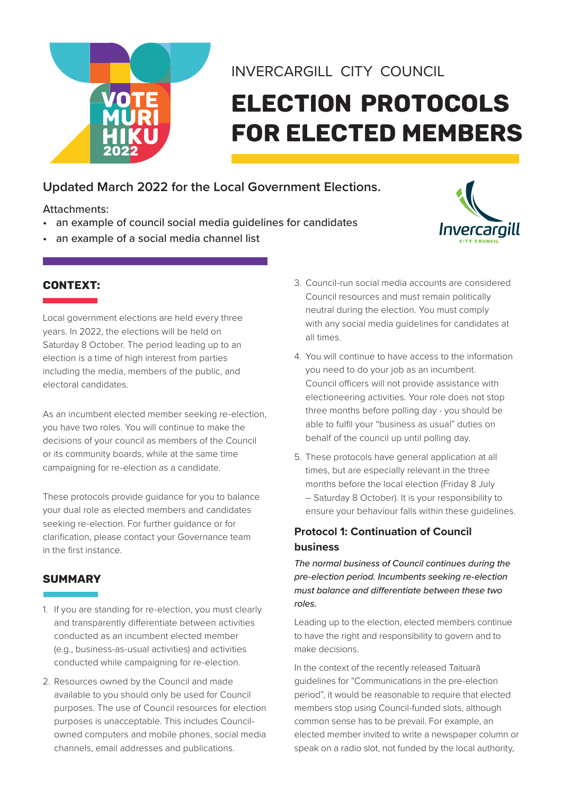

# INVERCARGILL CITY COUNCIL

# Election protocols for elected members

# **Updated March 2022 for the Local Government Elections.**

## Attachments:

- an example of council social media guidelines for candidates
- an example of a social media channel list



## CONTEXT:

Local government elections are held every three years. In 2022, the elections will be held on Saturday 8 October. The period leading up to an election is a time of high interest from parties including the media, members of the public, and electoral candidates.

As an incumbent elected member seeking re-election, you have two roles. You will continue to make the decisions of your council as members of the Council or its community boards, while at the same time campaigning for re-election as a candidate.

These protocols provide guidance for you to balance your dual role as elected members and candidates seeking re-election. For further guidance or for clarification, please contact your Governance team in the first instance.

## **SUMMARY**

- 1. If you are standing for re-election, you must clearly and transparently differentiate between activities conducted as an incumbent elected member (e.g., business-as-usual activities) and activities conducted while campaigning for re-election.
- 2. Resources owned by the Council and made available to you should only be used for Council purposes. The use of Council resources for election purposes is unacceptable. This includes Councilowned computers and mobile phones, social media channels, email addresses and publications.
- 3. Council-run social media accounts are considered Council resources and must remain politically neutral during the election. You must comply with any social media guidelines for candidates at all times.
- 4. You will continue to have access to the information you need to do your job as an incumbent. Council officers will not provide assistance with electioneering activities. Your role does not stop three months before polling day - you should be able to fulfil your "business as usual" duties on behalf of the council up until polling day.
- 5. These protocols have general application at all times, but are especially relevant in the three months before the local election (Friday 8 July – Saturday 8 October). It is your responsibility to ensure your behaviour falls within these guidelines.

## **Protocol 1: Continuation of Council business**

*The normal business of Council continues during the pre-election period. Incumbents seeking re-election must balance and differentiate between these two roles.*

Leading up to the election, elected members continue to have the right and responsibility to govern and to make decisions.

In the context of the recently released Taituarā guidelines for "Communications in the pre-election period", it would be reasonable to require that elected members stop using Council-funded slots, although common sense has to be prevail. For example, an elected member invited to write a newspaper column or speak on a radio slot, not funded by the local authority,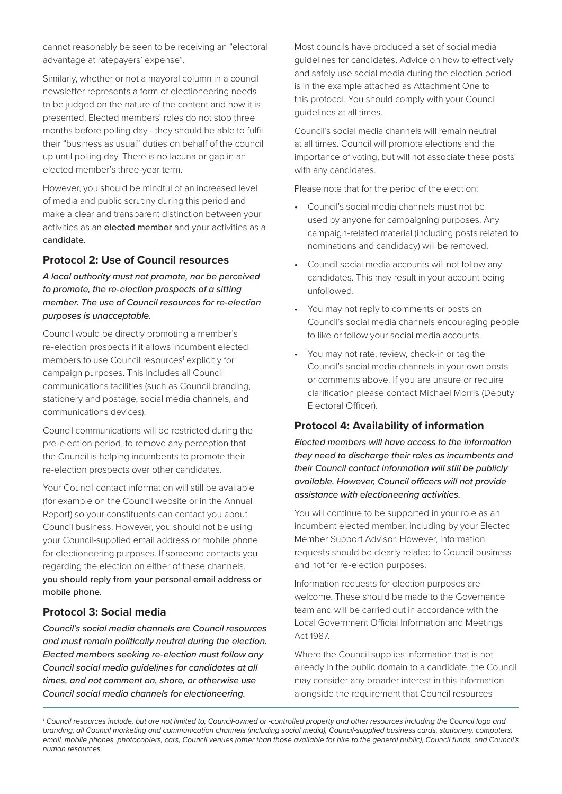cannot reasonably be seen to be receiving an "electoral advantage at ratepayers' expense".

Similarly, whether or not a mayoral column in a council newsletter represents a form of electioneering needs to be judged on the nature of the content and how it is presented. Elected members' roles do not stop three months before polling day - they should be able to fulfil their "business as usual" duties on behalf of the council up until polling day. There is no lacuna or gap in an elected member's three-year term.

However, you should be mindful of an increased level of media and public scrutiny during this period and make a clear and transparent distinction between your activities as an elected member and your activities as a candidate.

#### **Protocol 2: Use of Council resources**

*A local authority must not promote, nor be perceived to promote, the re-election prospects of a sitting member. The use of Council resources for re-election purposes is unacceptable.*

Council would be directly promoting a member's re-election prospects if it allows incumbent elected members to use Council resources<sup>1</sup> explicitly for campaign purposes. This includes all Council communications facilities (such as Council branding, stationery and postage, social media channels, and communications devices).

Council communications will be restricted during the pre-election period, to remove any perception that the Council is helping incumbents to promote their re-election prospects over other candidates.

Your Council contact information will still be available (for example on the Council website or in the Annual Report) so your constituents can contact you about Council business. However, you should not be using your Council-supplied email address or mobile phone for electioneering purposes. If someone contacts you regarding the election on either of these channels, you should reply from your personal email address or mobile phone.

#### **Protocol 3: Social media**

*Council's social media channels are Council resources and must remain politically neutral during the election. Elected members seeking re-election must follow any Council social media guidelines for candidates at all times, and not comment on, share, or otherwise use Council social media channels for electioneering.*

Most councils have produced a set of social media guidelines for candidates. Advice on how to effectively and safely use social media during the election period is in the example attached as Attachment One to this protocol. You should comply with your Council guidelines at all times.

Council's social media channels will remain neutral at all times. Council will promote elections and the importance of voting, but will not associate these posts with any candidates.

Please note that for the period of the election:

- Council's social media channels must not be used by anyone for campaigning purposes. Any campaign-related material (including posts related to nominations and candidacy) will be removed.
- Council social media accounts will not follow any candidates. This may result in your account being unfollowed.
- You may not reply to comments or posts on Council's social media channels encouraging people to like or follow your social media accounts.
- You may not rate, review, check-in or tag the Council's social media channels in your own posts or comments above. If you are unsure or require clarification please contact Michael Morris (Deputy Electoral Officer).

#### **Protocol 4: Availability of information**

*Elected members will have access to the information they need to discharge their roles as incumbents and their Council contact information will still be publicly available. However, Council officers will not provide assistance with electioneering activities.*

You will continue to be supported in your role as an incumbent elected member, including by your Elected Member Support Advisor. However, information requests should be clearly related to Council business and not for re-election purposes.

Information requests for election purposes are welcome. These should be made to the Governance team and will be carried out in accordance with the Local Government Official Information and Meetings Act 1987.

Where the Council supplies information that is not already in the public domain to a candidate, the Council may consider any broader interest in this information alongside the requirement that Council resources

*<sup>1.</sup> Council resources include, but are not limited to, Council-owned or -controlled property and other resources including the Council logo and branding, all Council marketing and communication channels (including social media), Council-supplied business cards, stationery, computers, email, mobile phones, photocopiers, cars, Council venues (other than those available for hire to the general public), Council funds, and Council's human resources.*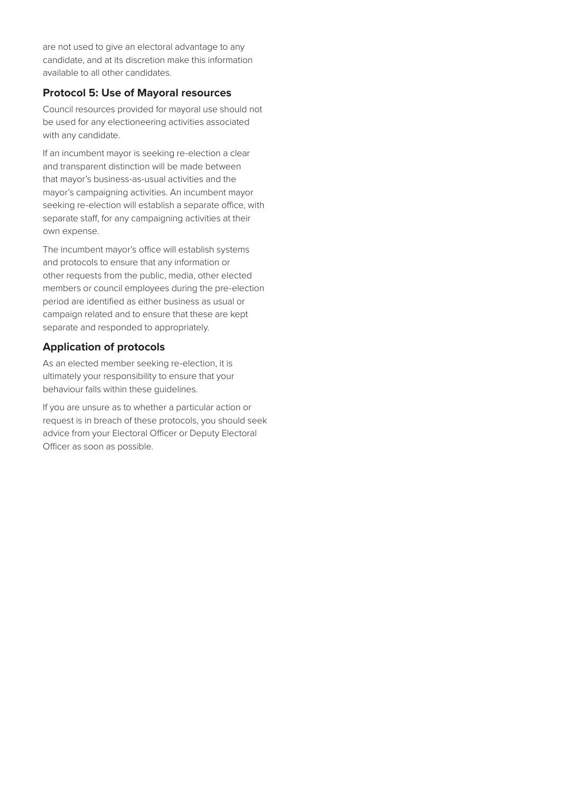are not used to give an electoral advantage to any candidate, and at its discretion make this information available to all other candidates.

### **Protocol 5: Use of Mayoral resources**

Council resources provided for mayoral use should not be used for any electioneering activities associated with any candidate.

If an incumbent mayor is seeking re-election a clear and transparent distinction will be made between that mayor's business-as-usual activities and the mayor's campaigning activities. An incumbent mayor seeking re-election will establish a separate office, with separate staff, for any campaigning activities at their own expense.

The incumbent mayor's office will establish systems and protocols to ensure that any information or other requests from the public, media, other elected members or council employees during the pre-election period are identified as either business as usual or campaign related and to ensure that these are kept separate and responded to appropriately.

#### **Application of protocols**

As an elected member seeking re-election, it is ultimately your responsibility to ensure that your behaviour falls within these guidelines.

If you are unsure as to whether a particular action or request is in breach of these protocols, you should seek advice from your Electoral Officer or Deputy Electoral Officer as soon as possible.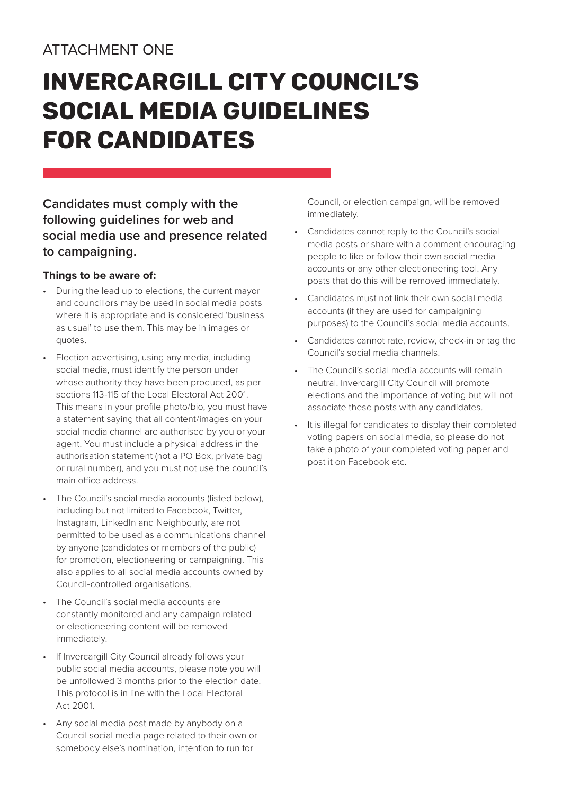# ATTACHMENT ONE

# Invercargill City Council's Social Media Guidelines for Candidates

## **Candidates must comply with the following guidelines for web and social media use and presence related to campaigning.**

## **Things to be aware of:**

- During the lead up to elections, the current mayor and councillors may be used in social media posts where it is appropriate and is considered 'business as usual' to use them. This may be in images or quotes.
- Election advertising, using any media, including social media, must identify the person under whose authority they have been produced, as per sections 113-115 of the Local Electoral Act 2001. This means in your profile photo/bio, you must have a statement saying that all content/images on your social media channel are authorised by you or your agent. You must include a physical address in the authorisation statement (not a PO Box, private bag or rural number), and you must not use the council's main office address.
- The Council's social media accounts (listed below), including but not limited to Facebook, Twitter, Instagram, LinkedIn and Neighbourly, are not permitted to be used as a communications channel by anyone (candidates or members of the public) for promotion, electioneering or campaigning. This also applies to all social media accounts owned by Council-controlled organisations.
- The Council's social media accounts are constantly monitored and any campaign related or electioneering content will be removed immediately.
- If Invercargill City Council already follows your public social media accounts, please note you will be unfollowed 3 months prior to the election date. This protocol is in line with the Local Electoral Act 2001.
- Any social media post made by anybody on a Council social media page related to their own or somebody else's nomination, intention to run for

Council, or election campaign, will be removed immediately.

- Candidates cannot reply to the Council's social media posts or share with a comment encouraging people to like or follow their own social media accounts or any other electioneering tool. Any posts that do this will be removed immediately.
- Candidates must not link their own social media accounts (if they are used for campaigning purposes) to the Council's social media accounts.
- Candidates cannot rate, review, check-in or tag the Council's social media channels.
- The Council's social media accounts will remain neutral. Invercargill City Council will promote elections and the importance of voting but will not associate these posts with any candidates.
- It is illegal for candidates to display their completed voting papers on social media, so please do not take a photo of your completed voting paper and post it on Facebook etc.